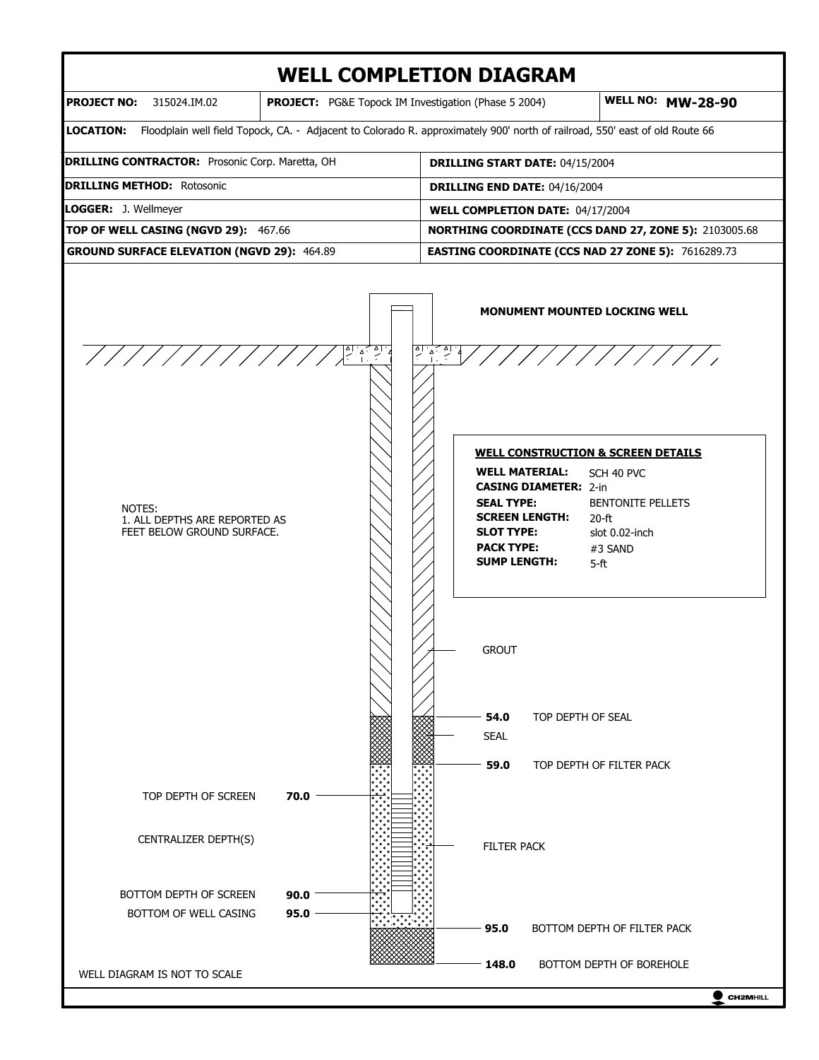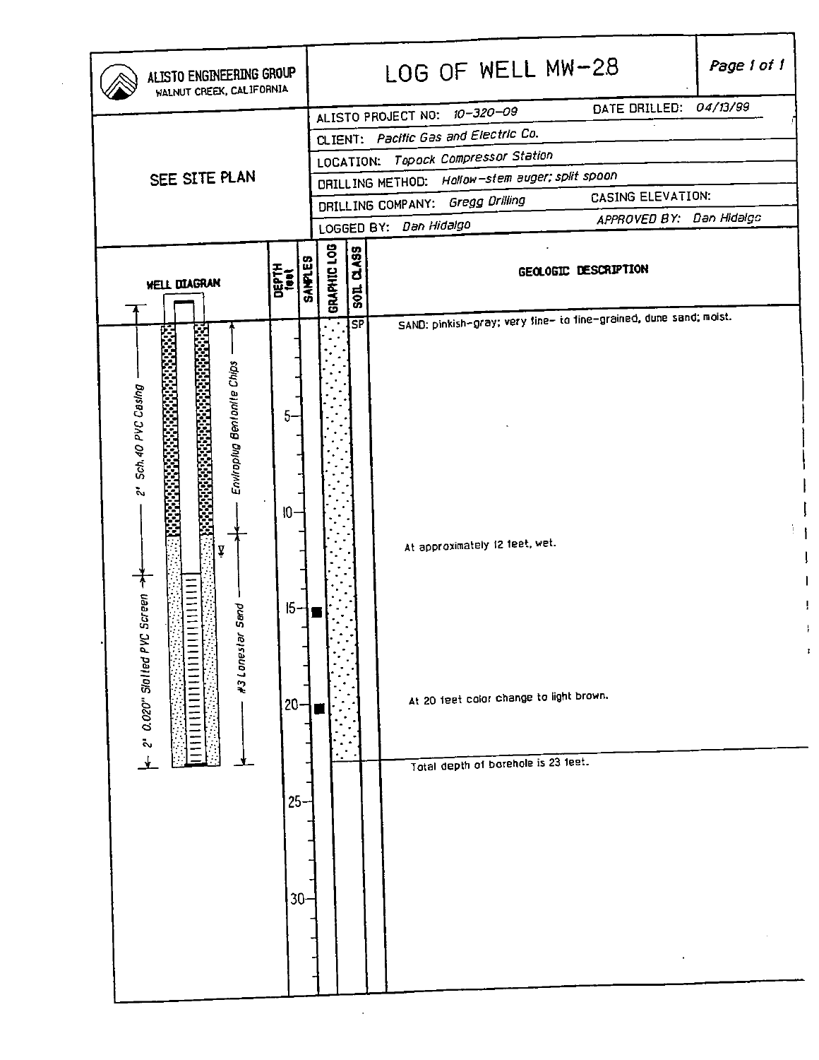| ALISTO ENGINEERING GROUP<br>WALNUT CREEK, CALIFORNIA                                                                                                                                                       |                                                        |                |             |                                                                      | LOG OF WELL MW-28<br>DATE DRILLED: 04/13/99                                                                                                                                           | Page 1 of 1 |  |  |  |  |
|------------------------------------------------------------------------------------------------------------------------------------------------------------------------------------------------------------|--------------------------------------------------------|----------------|-------------|----------------------------------------------------------------------|---------------------------------------------------------------------------------------------------------------------------------------------------------------------------------------|-------------|--|--|--|--|
|                                                                                                                                                                                                            |                                                        |                |             | ALISTO PROJECT NO: 10-320-09<br>CLIENT: Pacific Gas and Electric Co. |                                                                                                                                                                                       |             |  |  |  |  |
|                                                                                                                                                                                                            |                                                        |                |             |                                                                      | LOCATION: Topock Compressor Station                                                                                                                                                   |             |  |  |  |  |
| SEE SITE PLAN                                                                                                                                                                                              |                                                        |                |             |                                                                      | DRILLING METHOD: Hollow-stem auger; split spoon                                                                                                                                       |             |  |  |  |  |
|                                                                                                                                                                                                            |                                                        |                |             | CASING ELEVATION:<br>DRILLING COMPANY: Gregg Drilling                |                                                                                                                                                                                       |             |  |  |  |  |
|                                                                                                                                                                                                            |                                                        |                |             |                                                                      | APPROVED BY: Dan Hidalgo<br>LOGGED BY: Dan Hidalgo                                                                                                                                    |             |  |  |  |  |
| <b>WELL DIAGRAN</b>                                                                                                                                                                                        | <b>DEPTH</b><br>test                                   | <b>SANPLES</b> | GRAPHIC LOG | <b>DASS</b><br>501                                                   | GEOLOGIC DESCRIPTION                                                                                                                                                                  |             |  |  |  |  |
| Enviropiug Bentantle Chips<br>Sch. 40 PVC Casing<br>192011312333333333<br>ž,<br>esses<br>Substant<br>y<br> <br> <br> <br> <br> <br><br> <br>Screen<br>Sand<br>Q<br>ř.<br>#3 Lones!<br>2' 0.020" Slotted P1 | 5.<br>$\sqrt{0}$<br>$15-$<br>$20 -$<br>25 <sub>2</sub> | $30 -$         |             | $\overline{\mathsf{SP}}$                                             | SAND: pinkish-gray; very fine- to fine-grained, dune sand; moist.<br>At approximately 12 feet, wet.<br>At 20 feet color change to light brown.<br>Total depth of borehole is 23 feet. | Ŷ.<br>J,    |  |  |  |  |

Ţ  $\mathbf{I}$  $\bar{\rm i}$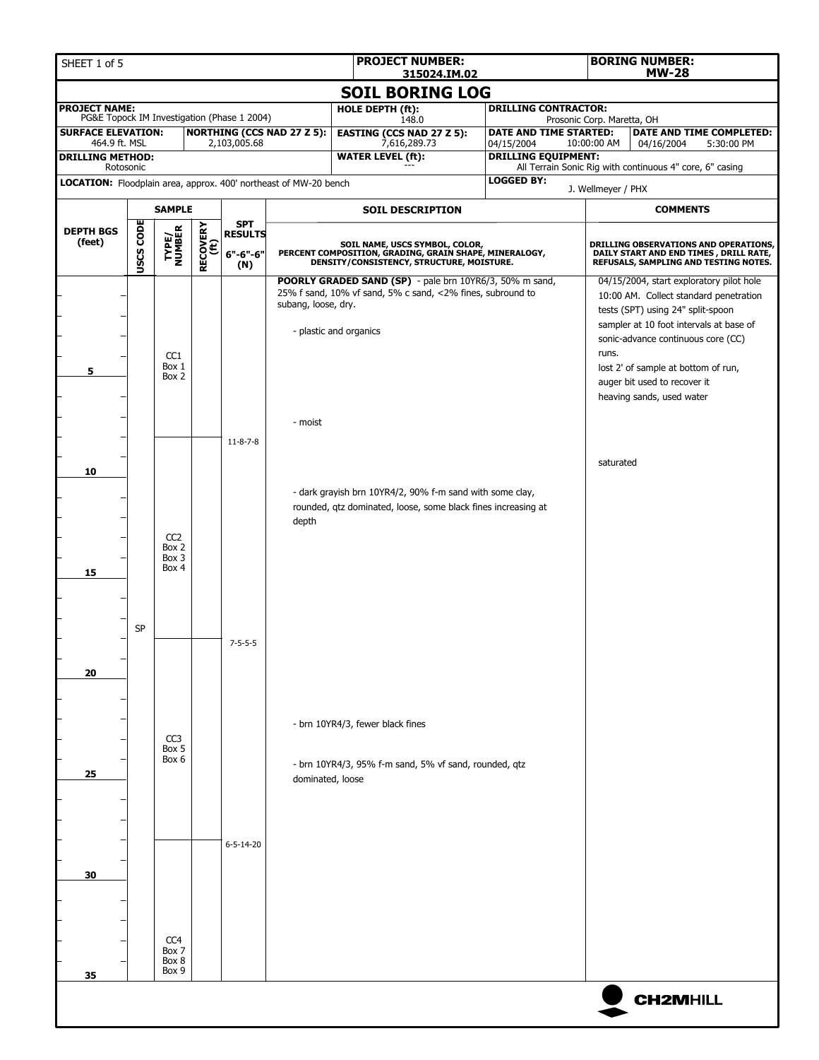| SHEET 1 of 5                                                                  |                        |                                            |                         |                                             |                                                                                                                                    | <b>PROJECT NUMBER:</b><br>315024.IM.02                                                                                                          |                                                                                           |                            | <b>BORING NUMBER:</b><br><b>MW-28</b>                                                                                                                                                                                                                                                                        |  |  |
|-------------------------------------------------------------------------------|------------------------|--------------------------------------------|-------------------------|---------------------------------------------|------------------------------------------------------------------------------------------------------------------------------------|-------------------------------------------------------------------------------------------------------------------------------------------------|-------------------------------------------------------------------------------------------|----------------------------|--------------------------------------------------------------------------------------------------------------------------------------------------------------------------------------------------------------------------------------------------------------------------------------------------------------|--|--|
|                                                                               | <b>SOIL BORING LOG</b> |                                            |                         |                                             |                                                                                                                                    |                                                                                                                                                 |                                                                                           |                            |                                                                                                                                                                                                                                                                                                              |  |  |
| <b>PROJECT NAME:</b>                                                          |                        |                                            |                         | PG&E Topock IM Investigation (Phase 1 2004) |                                                                                                                                    | HOLE DEPTH (ft):<br>148.0                                                                                                                       | <b>DRILLING CONTRACTOR:</b>                                                               | Prosonic Corp. Maretta, OH |                                                                                                                                                                                                                                                                                                              |  |  |
| <b>SURFACE ELEVATION:</b><br>464.9 ft. MSL                                    |                        |                                            |                         | 2,103,005.68                                | <b>NORTHING (CCS NAD 27 Z 5):</b>                                                                                                  | <b>EASTING (CCS NAD 27 Z 5):</b><br>7,616,289.73                                                                                                | DATE AND TIME STARTED:                                                                    | 10:00:00 AM                | DATE AND TIME COMPLETED:                                                                                                                                                                                                                                                                                     |  |  |
| <b>DRILLING METHOD:</b>                                                       |                        |                                            |                         |                                             |                                                                                                                                    | <b>WATER LEVEL (ft):</b>                                                                                                                        | 04/15/2004<br><b>DRILLING EQUIPMENT:</b>                                                  |                            | 04/16/2004<br>5:30:00 PM                                                                                                                                                                                                                                                                                     |  |  |
| Rotosonic<br>LOCATION: Floodplain area, approx. 400' northeast of MW-20 bench |                        |                                            |                         |                                             |                                                                                                                                    |                                                                                                                                                 | <b>LOGGED BY:</b>                                                                         |                            | All Terrain Sonic Rig with continuous 4" core, 6" casing                                                                                                                                                                                                                                                     |  |  |
|                                                                               |                        | <b>SAMPLE</b>                              |                         |                                             |                                                                                                                                    | <b>SOIL DESCRIPTION</b>                                                                                                                         |                                                                                           | J. Wellmeyer / PHX         | <b>COMMENTS</b>                                                                                                                                                                                                                                                                                              |  |  |
| <b>DEPTH BGS</b>                                                              |                        |                                            |                         | <b>SPT</b>                                  |                                                                                                                                    |                                                                                                                                                 |                                                                                           |                            |                                                                                                                                                                                                                                                                                                              |  |  |
| (feet)                                                                        | <b>USCS CODE</b>       | TYPE/<br>NUMBER                            | <b>RECOVERY</b><br>(ft) | <b>RESULTS</b><br>$6" - 6" - 6"$<br>(N)     |                                                                                                                                    | SOIL NAME, USCS SYMBOL, COLOR,<br>PERCENT COMPOSITION, GRADING, GRAIN SHAPE, MINERALOGY, DENSITY/CONSISTENCY, STRUCTURE, MOISTURE.              |                                                                                           |                            | DRILLING OBSERVATIONS AND OPERATIONS,<br>DAILY START AND END TIMES , DRILL RATE,<br>REFUSALS, SAMPLING AND TESTING NOTES.                                                                                                                                                                                    |  |  |
| 5                                                                             |                        | CC1<br>Box 1<br>Box 2                      |                         |                                             | subang, loose, dry.<br>- moist                                                                                                     | POORLY GRADED SAND (SP) - pale brn 10YR6/3, 50% m sand,<br>25% f sand, 10% vf sand, 5% c sand, <2% fines, subround to<br>- plastic and organics |                                                                                           | runs.                      | 04/15/2004, start exploratory pilot hole<br>10:00 AM. Collect standard penetration<br>tests (SPT) using 24" split-spoon<br>sampler at 10 foot intervals at base of<br>sonic-advance continuous core (CC)<br>lost 2' of sample at bottom of run,<br>auger bit used to recover it<br>heaving sands, used water |  |  |
| 10                                                                            |                        |                                            |                         | $11 - 8 - 7 - 8$                            | - dark grayish brn 10YR4/2, 90% f-m sand with some clay,<br>rounded, qtz dominated, loose, some black fines increasing at<br>depth |                                                                                                                                                 |                                                                                           | saturated                  |                                                                                                                                                                                                                                                                                                              |  |  |
| 15                                                                            |                        | CC <sub>2</sub><br>Box 2<br>Box 3<br>Box 4 |                         |                                             |                                                                                                                                    |                                                                                                                                                 |                                                                                           |                            |                                                                                                                                                                                                                                                                                                              |  |  |
| 20                                                                            | <b>SP</b>              |                                            |                         | $7 - 5 - 5 - 5$                             |                                                                                                                                    |                                                                                                                                                 |                                                                                           |                            |                                                                                                                                                                                                                                                                                                              |  |  |
| 25                                                                            |                        |                                            | CC3<br>Box 5<br>Box 6   |                                             |                                                                                                                                    | dominated, loose                                                                                                                                | - brn 10YR4/3, fewer black fines<br>- brn 10YR4/3, 95% f-m sand, 5% vf sand, rounded, qtz |                            |                                                                                                                                                                                                                                                                                                              |  |  |
| 30                                                                            |                        | CC <sub>4</sub><br>Box 7<br>Box 8<br>Box 9 |                         | $6 - 5 - 14 - 20$                           |                                                                                                                                    |                                                                                                                                                 |                                                                                           |                            |                                                                                                                                                                                                                                                                                                              |  |  |
| 35                                                                            |                        |                                            |                         |                                             |                                                                                                                                    |                                                                                                                                                 |                                                                                           |                            | <b>CH2MHILL</b>                                                                                                                                                                                                                                                                                              |  |  |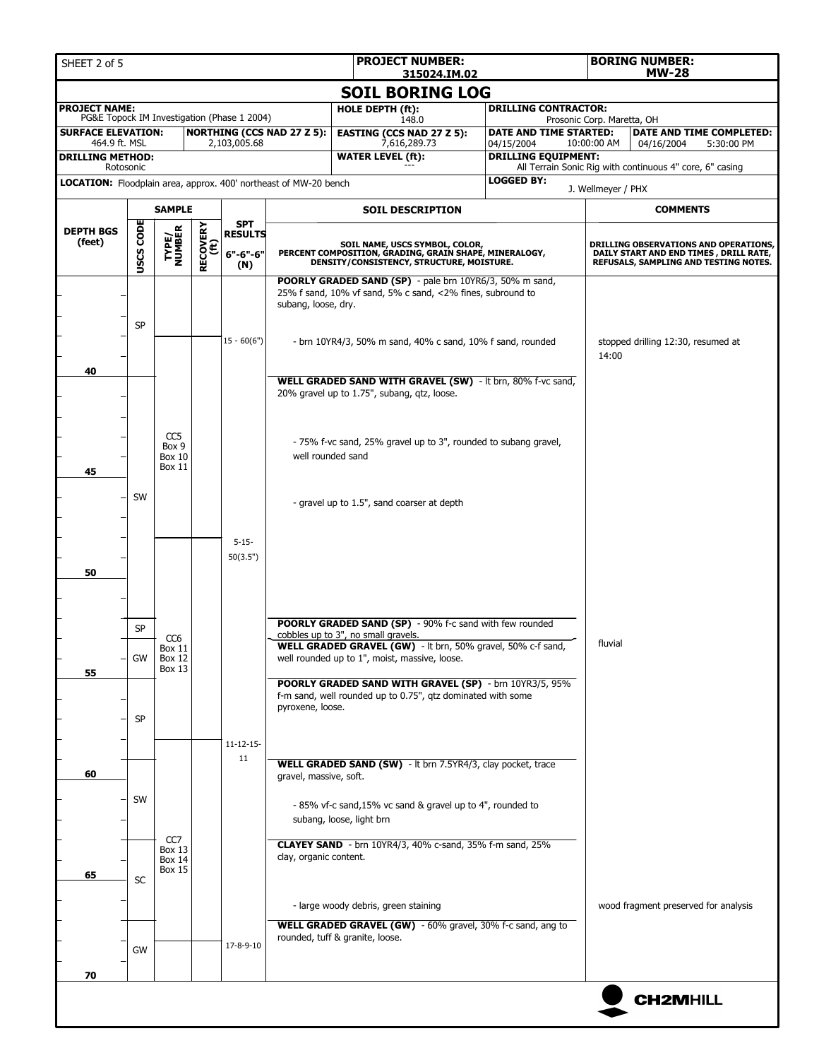| SHEET 2 of 5                                                            |                  |                                                             |                         |                                                       |                                   | <b>PROJECT NUMBER:</b><br>315024.IM.02                                                                                             |                                          |                                                                                                                          | <b>BORING NUMBER:</b><br><b>MW-28</b>                    |  |  |  |
|-------------------------------------------------------------------------|------------------|-------------------------------------------------------------|-------------------------|-------------------------------------------------------|-----------------------------------|------------------------------------------------------------------------------------------------------------------------------------|------------------------------------------|--------------------------------------------------------------------------------------------------------------------------|----------------------------------------------------------|--|--|--|
|                                                                         |                  |                                                             |                         |                                                       |                                   | <b>SOIL BORING LOG</b>                                                                                                             |                                          |                                                                                                                          |                                                          |  |  |  |
| <b>PROJECT NAME:</b>                                                    |                  |                                                             |                         |                                                       |                                   | HOLE DEPTH (ft):                                                                                                                   | <b>DRILLING CONTRACTOR:</b>              |                                                                                                                          |                                                          |  |  |  |
| <b>SURFACE ELEVATION:</b>                                               |                  |                                                             |                         | PG&E Topock IM Investigation (Phase 1 2004)           | <b>NORTHING (CCS NAD 27 Z 5):</b> | 148.0<br><b>EASTING (CCS NAD 27 Z 5):</b>                                                                                          | DATE AND TIME STARTED:                   | Prosonic Corp. Maretta, OH                                                                                               | DATE AND TIME COMPLETED:                                 |  |  |  |
| 464.9 ft. MSL<br><b>DRILLING METHOD:</b>                                |                  |                                                             |                         | 2,103,005.68                                          |                                   | 7,616,289.73<br><b>WATER LEVEL (ft):</b>                                                                                           | 04/15/2004<br><b>DRILLING EQUIPMENT:</b> | 10:00:00 AM                                                                                                              | 04/16/2004<br>5:30:00 PM                                 |  |  |  |
| Rotosonic                                                               |                  |                                                             |                         |                                                       |                                   |                                                                                                                                    |                                          |                                                                                                                          | All Terrain Sonic Rig with continuous 4" core, 6" casing |  |  |  |
| <b>LOCATION:</b> Floodplain area, approx. 400' northeast of MW-20 bench |                  |                                                             |                         |                                                       |                                   |                                                                                                                                    | <b>LOGGED BY:</b>                        | J. Wellmeyer / PHX                                                                                                       |                                                          |  |  |  |
| <b>SAMPLE</b>                                                           |                  |                                                             |                         |                                                       |                                   | <b>SOIL DESCRIPTION</b>                                                                                                            |                                          |                                                                                                                          | <b>COMMENTS</b>                                          |  |  |  |
| <b>DEPTH BGS</b><br>(feet)                                              | <b>USCS CODE</b> | TYPE/<br>NUMBER                                             | <b>RECOVERY</b><br>(ft) | <b>SPT</b><br><b>RESULTS</b><br>$6" - 6" - 6"$<br>(N) |                                   | SOIL NAME, USCS SYMBOL, COLOR,<br>PERCENT COMPOSITION, GRADING, GRAIN SHAPE, MINERALOGY, DENSITY/CONSISTENCY, STRUCTURE, MOISTURE. |                                          | DRILLING OBSERVATIONS AND OPERATIONS,<br>DAILY START AND END TIMES, DRILL RATE,<br>REFUSALS, SAMPLING AND TESTING NOTES. |                                                          |  |  |  |
|                                                                         |                  |                                                             |                         |                                                       | subang, loose, dry.               | POORLY GRADED SAND (SP) - pale brn 10YR6/3, 50% m sand,<br>25% f sand, 10% vf sand, 5% c sand, <2% fines, subround to              |                                          |                                                                                                                          |                                                          |  |  |  |
|                                                                         | <b>SP</b>        |                                                             |                         | $15 - 60(6")$                                         |                                   | - brn 10YR4/3, 50% m sand, 40% c sand, 10% f sand, rounded                                                                         |                                          | 14:00                                                                                                                    | stopped drilling 12:30, resumed at                       |  |  |  |
| 40                                                                      |                  |                                                             |                         |                                                       |                                   | WELL GRADED SAND WITH GRAVEL (SW) - It brn, 80% f-vc sand,<br>20% gravel up to 1.75", subang, qtz, loose.                          |                                          |                                                                                                                          |                                                          |  |  |  |
| 45                                                                      |                  | CC <sub>5</sub><br>Box 9<br>Box 10<br>Box 11                |                         |                                                       |                                   | - 75% f-vc sand, 25% gravel up to 3", rounded to subang gravel,<br>well rounded sand                                               |                                          |                                                                                                                          |                                                          |  |  |  |
|                                                                         | SW               |                                                             |                         |                                                       |                                   | - gravel up to 1.5", sand coarser at depth                                                                                         |                                          |                                                                                                                          |                                                          |  |  |  |
| 50                                                                      |                  |                                                             |                         | $5 - 15 -$<br>50(3.5")                                |                                   |                                                                                                                                    |                                          |                                                                                                                          |                                                          |  |  |  |
|                                                                         | <b>SP</b>        |                                                             |                         |                                                       |                                   | <b>POORLY GRADED SAND (SP)</b> - 90% f-c sand with few rounded<br>cobbles up to 3", no small gravels.                              |                                          |                                                                                                                          |                                                          |  |  |  |
| 55                                                                      | GW               | CC <sub>6</sub><br>Box 11<br><b>Box 12</b><br><b>Box 13</b> |                         |                                                       |                                   | WELL GRADED GRAVEL (GW) - It brn, 50% gravel, 50% c-f sand,<br>well rounded up to 1", moist, massive, loose.                       |                                          | fluvial                                                                                                                  |                                                          |  |  |  |
|                                                                         | <b>SP</b>        |                                                             |                         |                                                       | pyroxene, loose.                  | POORLY GRADED SAND WITH GRAVEL (SP) - brn 10YR3/5, 95%<br>f-m sand, well rounded up to 0.75", qtz dominated with some              |                                          |                                                                                                                          |                                                          |  |  |  |
| 60                                                                      |                  |                                                             |                         | $11 - 12 - 15$<br>11                                  | gravel, massive, soft.            | WELL GRADED SAND (SW) - It brn 7.5YR4/3, clay pocket, trace                                                                        |                                          |                                                                                                                          |                                                          |  |  |  |
|                                                                         | SW               |                                                             |                         |                                                       |                                   | - 85% vf-c sand, 15% vc sand & gravel up to 4", rounded to<br>subang, loose, light brn                                             |                                          |                                                                                                                          |                                                          |  |  |  |
| 65                                                                      | <b>SC</b>        | CC7<br><b>Box 13</b><br><b>Box 14</b><br>Box 15             |                         |                                                       | clay, organic content.            | <b>CLAYEY SAND</b> - brn 10YR4/3, 40% c-sand, 35% f-m sand, 25%                                                                    |                                          |                                                                                                                          |                                                          |  |  |  |
|                                                                         |                  |                                                             |                         |                                                       |                                   | - large woody debris, green staining<br>WELL GRADED GRAVEL (GW) - 60% gravel, 30% f-c sand, ang to                                 |                                          |                                                                                                                          | wood fragment preserved for analysis                     |  |  |  |
| 70                                                                      | GW               |                                                             |                         | 17-8-9-10                                             |                                   | rounded, tuff & granite, loose.                                                                                                    |                                          |                                                                                                                          |                                                          |  |  |  |
|                                                                         |                  |                                                             |                         |                                                       |                                   |                                                                                                                                    |                                          |                                                                                                                          |                                                          |  |  |  |
|                                                                         |                  |                                                             |                         |                                                       |                                   |                                                                                                                                    |                                          |                                                                                                                          | <b>CH2MHILL</b>                                          |  |  |  |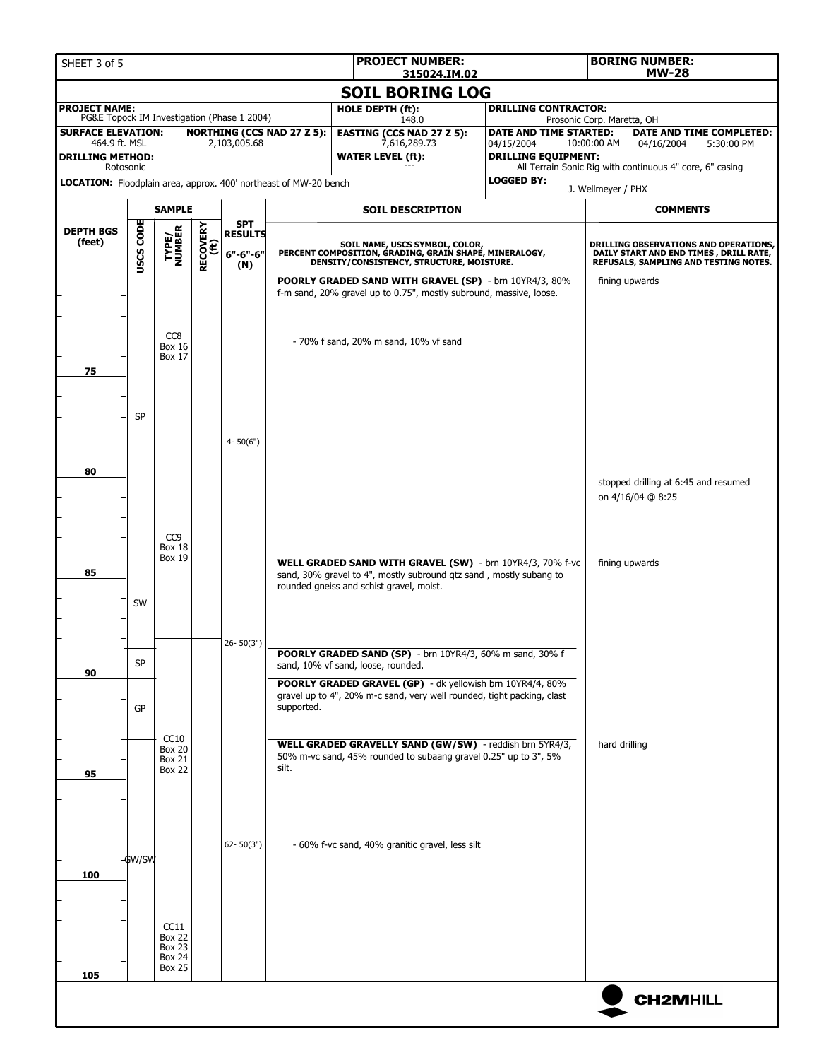| <b>PROJECT NUMBER:</b><br>SHEET 3 of 5<br>315024.IM.02                        |                  |                                  |                         |                                             |                                                           |                                                                                                                                     |                                          |                            | <b>BORING NUMBER:</b><br><b>MW-28</b>                                           |  |  |
|-------------------------------------------------------------------------------|------------------|----------------------------------|-------------------------|---------------------------------------------|-----------------------------------------------------------|-------------------------------------------------------------------------------------------------------------------------------------|------------------------------------------|----------------------------|---------------------------------------------------------------------------------|--|--|
| <b>SOIL BORING LOG</b>                                                        |                  |                                  |                         |                                             |                                                           |                                                                                                                                     |                                          |                            |                                                                                 |  |  |
| <b>PROJECT NAME:</b>                                                          |                  |                                  |                         | PG&E Topock IM Investigation (Phase 1 2004) |                                                           | HOLE DEPTH (ft):<br>148.0                                                                                                           | <b>DRILLING CONTRACTOR:</b>              | Prosonic Corp. Maretta, OH |                                                                                 |  |  |
| <b>SURFACE ELEVATION:</b>                                                     |                  |                                  |                         |                                             | <b>NORTHING (CCS NAD 27 Z 5):</b>                         | <b>EASTING (CCS NAD 27 Z 5):</b>                                                                                                    | DATE AND TIME STARTED:                   |                            | DATE AND TIME COMPLETED:                                                        |  |  |
| 464.9 ft. MSL<br><b>DRILLING METHOD:</b>                                      |                  |                                  |                         | 2,103,005.68                                |                                                           | 7,616,289.73<br><b>WATER LEVEL (ft):</b>                                                                                            | 04/15/2004<br><b>DRILLING EQUIPMENT:</b> | 10:00:00 AM                | 04/16/2004<br>5:30:00 PM                                                        |  |  |
| Rotosonic<br>LOCATION: Floodplain area, approx. 400' northeast of MW-20 bench |                  |                                  |                         |                                             |                                                           |                                                                                                                                     | <b>LOGGED BY:</b>                        |                            | All Terrain Sonic Rig with continuous 4" core, 6" casing                        |  |  |
|                                                                               |                  |                                  |                         |                                             |                                                           |                                                                                                                                     |                                          |                            | J. Wellmeyer / PHX                                                              |  |  |
|                                                                               |                  | <b>SAMPLE</b>                    |                         | <b>SPT</b>                                  |                                                           | <b>SOIL DESCRIPTION</b>                                                                                                             |                                          |                            | <b>COMMENTS</b>                                                                 |  |  |
| <b>DEPTH BGS</b><br>(feet)                                                    |                  | TYPE/<br>NUMBER                  |                         | <b>RESULTS</b>                              |                                                           | SOIL NAME, USCS SYMBOL, COLOR,                                                                                                      |                                          |                            | <b>DRILLING OBSERVATIONS AND OPERATIONS,</b>                                    |  |  |
|                                                                               | <b>USCS CODE</b> |                                  | <b>RECOVERY</b><br>(ft) | $6" - 6" - 6"$<br>(N)                       |                                                           | PERCENT COMPOSITION, GRADING, GRAIN SHAPE, MINERALOGY,<br>DENSITY/CONSISTENCY, STRUCTURE, MOISTURE.                                 |                                          |                            | DAILY START AND END TIMES, DRILL RATE,<br>REFUSALS, SAMPLING AND TESTING NOTES. |  |  |
|                                                                               |                  |                                  |                         |                                             |                                                           | POORLY GRADED SAND WITH GRAVEL (SP) - brn 10YR4/3, 80%<br>f-m sand, 20% gravel up to 0.75", mostly subround, massive, loose.        |                                          |                            | fining upwards                                                                  |  |  |
|                                                                               |                  |                                  |                         |                                             |                                                           |                                                                                                                                     |                                          |                            |                                                                                 |  |  |
|                                                                               |                  | CC8                              |                         |                                             |                                                           |                                                                                                                                     |                                          |                            |                                                                                 |  |  |
|                                                                               |                  | <b>Box 16</b><br><b>Box 17</b>   |                         |                                             |                                                           | - 70% f sand, 20% m sand, 10% vf sand                                                                                               |                                          |                            |                                                                                 |  |  |
| 75                                                                            |                  |                                  |                         |                                             |                                                           |                                                                                                                                     |                                          |                            |                                                                                 |  |  |
|                                                                               |                  |                                  |                         |                                             |                                                           |                                                                                                                                     |                                          |                            |                                                                                 |  |  |
|                                                                               | <b>SP</b>        |                                  |                         |                                             |                                                           |                                                                                                                                     |                                          |                            |                                                                                 |  |  |
|                                                                               |                  |                                  |                         | $4 - 50(6")$                                |                                                           |                                                                                                                                     |                                          |                            |                                                                                 |  |  |
|                                                                               |                  |                                  |                         |                                             |                                                           |                                                                                                                                     |                                          |                            |                                                                                 |  |  |
| 80                                                                            |                  |                                  |                         |                                             |                                                           |                                                                                                                                     |                                          |                            | stopped drilling at 6:45 and resumed                                            |  |  |
|                                                                               |                  |                                  |                         |                                             |                                                           |                                                                                                                                     |                                          |                            | on 4/16/04 @ 8:25                                                               |  |  |
|                                                                               |                  |                                  |                         |                                             |                                                           |                                                                                                                                     |                                          |                            |                                                                                 |  |  |
|                                                                               |                  | CC <sub>9</sub><br><b>Box 18</b> |                         |                                             |                                                           |                                                                                                                                     |                                          |                            |                                                                                 |  |  |
|                                                                               |                  | <b>Box 19</b>                    |                         |                                             | WELL GRADED SAND WITH GRAVEL (SW) - brn 10YR4/3, 70% f-vc |                                                                                                                                     |                                          |                            | fining upwards                                                                  |  |  |
| 85                                                                            |                  |                                  |                         |                                             |                                                           | sand, 30% gravel to 4", mostly subround qtz sand, mostly subang to<br>rounded gneiss and schist gravel, moist.                      |                                          |                            |                                                                                 |  |  |
|                                                                               | SW               |                                  |                         |                                             |                                                           |                                                                                                                                     |                                          |                            |                                                                                 |  |  |
|                                                                               |                  |                                  |                         |                                             |                                                           |                                                                                                                                     |                                          |                            |                                                                                 |  |  |
|                                                                               |                  |                                  |                         | $26 - 50(3")$                               |                                                           | POORLY GRADED SAND (SP) - brn 10YR4/3, 60% m sand, 30% f                                                                            |                                          |                            |                                                                                 |  |  |
| 90                                                                            | $\mathsf{SP}$    |                                  |                         |                                             |                                                           | sand, 10% vf sand, loose, rounded.                                                                                                  |                                          |                            |                                                                                 |  |  |
|                                                                               |                  |                                  |                         |                                             |                                                           | POORLY GRADED GRAVEL (GP) - dk yellowish brn 10YR4/4, 80%<br>gravel up to 4", 20% m-c sand, very well rounded, tight packing, clast |                                          |                            |                                                                                 |  |  |
|                                                                               | ${\sf GP}$       |                                  |                         |                                             | supported.                                                |                                                                                                                                     |                                          |                            |                                                                                 |  |  |
|                                                                               |                  | CC10                             |                         |                                             |                                                           | WELL GRADED GRAVELLY SAND (GW/SW) - reddish brn 5YR4/3,                                                                             |                                          | hard drilling              |                                                                                 |  |  |
|                                                                               |                  | <b>Box 20</b><br><b>Box 21</b>   |                         |                                             |                                                           | 50% m-vc sand, 45% rounded to subaang gravel 0.25" up to 3", 5%                                                                     |                                          |                            |                                                                                 |  |  |
| 95                                                                            |                  | <b>Box 22</b>                    |                         |                                             | silt.                                                     |                                                                                                                                     |                                          |                            |                                                                                 |  |  |
|                                                                               |                  |                                  |                         |                                             |                                                           |                                                                                                                                     |                                          |                            |                                                                                 |  |  |
|                                                                               |                  |                                  |                         |                                             |                                                           |                                                                                                                                     |                                          |                            |                                                                                 |  |  |
|                                                                               |                  |                                  |                         | $62 - 50(3")$                               |                                                           | - 60% f-vc sand, 40% granitic gravel, less silt                                                                                     |                                          |                            |                                                                                 |  |  |
| 100                                                                           | -¢w/sw           |                                  |                         |                                             |                                                           |                                                                                                                                     |                                          |                            |                                                                                 |  |  |
|                                                                               |                  |                                  |                         |                                             |                                                           |                                                                                                                                     |                                          |                            |                                                                                 |  |  |
|                                                                               |                  |                                  |                         |                                             |                                                           |                                                                                                                                     |                                          |                            |                                                                                 |  |  |
|                                                                               |                  | CC11<br><b>Box 22</b>            |                         |                                             |                                                           |                                                                                                                                     |                                          |                            |                                                                                 |  |  |
|                                                                               |                  | <b>Box 23</b><br><b>Box 24</b>   |                         |                                             |                                                           |                                                                                                                                     |                                          |                            |                                                                                 |  |  |
| 105                                                                           |                  | <b>Box 25</b>                    |                         |                                             |                                                           |                                                                                                                                     |                                          |                            |                                                                                 |  |  |
|                                                                               |                  |                                  |                         |                                             |                                                           |                                                                                                                                     |                                          |                            | <b>CH2MHILL</b>                                                                 |  |  |
|                                                                               |                  |                                  |                         |                                             |                                                           |                                                                                                                                     |                                          |                            |                                                                                 |  |  |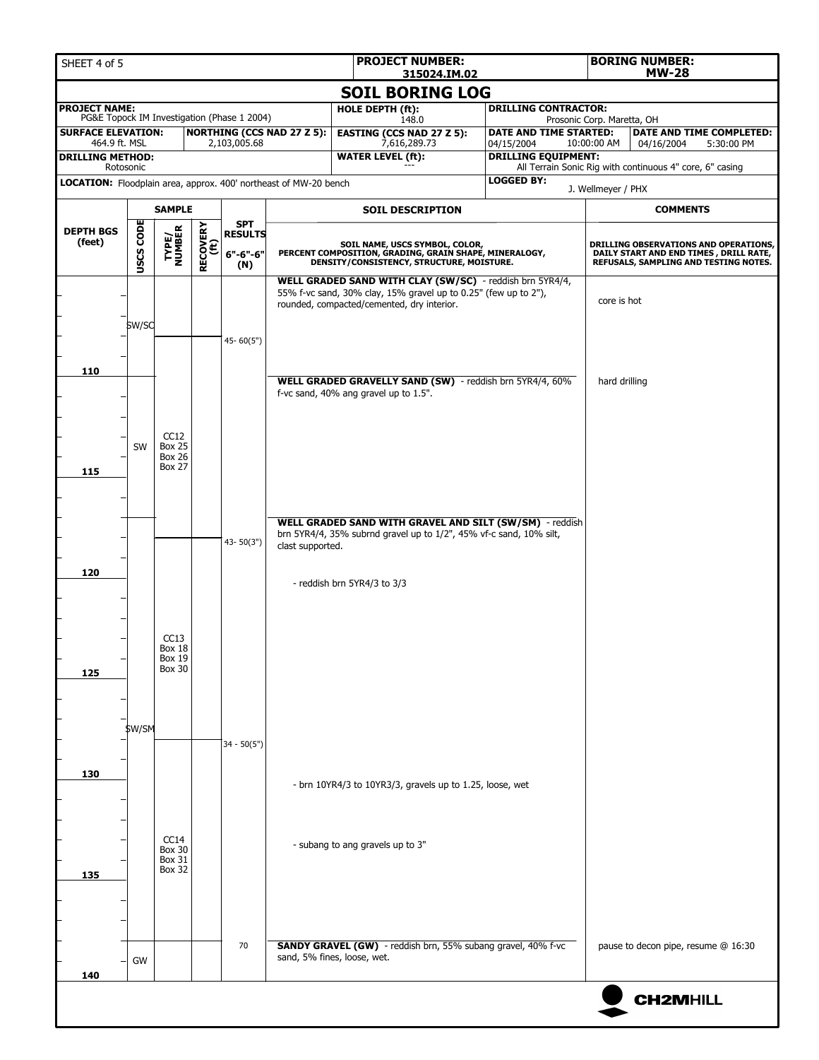| SHEET 4 of 5                                                     |                  |                                |                         |                                             |                                   | <b>PROJECT NUMBER:</b><br>315024.IM.02                                                                                                |                                          | <b>BORING NUMBER:</b><br><b>MW-28</b>                                                                                    |  |  |
|------------------------------------------------------------------|------------------|--------------------------------|-------------------------|---------------------------------------------|-----------------------------------|---------------------------------------------------------------------------------------------------------------------------------------|------------------------------------------|--------------------------------------------------------------------------------------------------------------------------|--|--|
|                                                                  |                  |                                |                         |                                             |                                   | <b>SOIL BORING LOG</b>                                                                                                                |                                          |                                                                                                                          |  |  |
| <b>PROJECT NAME:</b>                                             |                  |                                |                         | PG&E Topock IM Investigation (Phase 1 2004) |                                   | HOLE DEPTH (ft):                                                                                                                      | <b>DRILLING CONTRACTOR:</b>              |                                                                                                                          |  |  |
| <b>SURFACE ELEVATION:</b>                                        |                  |                                |                         |                                             | <b>NORTHING (CCS NAD 27 Z 5):</b> | 148.0<br><b>EASTING (CCS NAD 27 Z 5):</b>                                                                                             | DATE AND TIME STARTED:                   | Prosonic Corp. Maretta, OH<br>DATE AND TIME COMPLETED:                                                                   |  |  |
| 464.9 ft. MSL<br><b>DRILLING METHOD:</b><br>Rotosonic            |                  |                                |                         | 2,103,005.68                                |                                   | 7,616,289.73<br><b>WATER LEVEL (ft):</b>                                                                                              | 04/15/2004<br><b>DRILLING EQUIPMENT:</b> | 10:00:00 AM<br>04/16/2004<br>5:30:00 PM<br>All Terrain Sonic Rig with continuous 4" core, 6" casing                      |  |  |
| LOCATION: Floodplain area, approx. 400' northeast of MW-20 bench |                  |                                |                         |                                             |                                   |                                                                                                                                       | <b>LOGGED BY:</b>                        |                                                                                                                          |  |  |
|                                                                  |                  | <b>SAMPLE</b>                  |                         |                                             |                                   |                                                                                                                                       |                                          | J. Wellmeyer / PHX<br><b>COMMENTS</b>                                                                                    |  |  |
|                                                                  |                  |                                |                         | <b>SPT</b>                                  |                                   | <b>SOIL DESCRIPTION</b>                                                                                                               |                                          |                                                                                                                          |  |  |
| <b>DEPTH BGS</b><br>(feet)                                       | <b>USCS CODE</b> | TYPE/<br>NUMBER                | <b>RECOVERY</b><br>(ft) | <b>RESULTS</b><br>6"-6"-6"<br>(N)           |                                   | SOIL NAME, USCS SYMBOL, COLOR,<br>PERCENT COMPOSITION, GRADING, GRAIN SHAPE, MINERALOGY,<br>DENSITY/CONSISTENCY, STRUCTURE, MOISTURE. |                                          | DRILLING OBSERVATIONS AND OPERATIONS,<br>DAILY START AND END TIMES, DRILL RATE,<br>REFUSALS, SAMPLING AND TESTING NOTES. |  |  |
|                                                                  |                  |                                |                         |                                             |                                   | WELL GRADED SAND WITH CLAY (SW/SC) - reddish brn 5YR4/4,<br>55% f-vc sand, 30% clay, 15% gravel up to 0.25" (few up to 2"),           |                                          |                                                                                                                          |  |  |
|                                                                  |                  |                                |                         |                                             |                                   | rounded, compacted/cemented, dry interior.                                                                                            |                                          | core is hot                                                                                                              |  |  |
|                                                                  | \$W/SC           |                                |                         |                                             |                                   |                                                                                                                                       |                                          |                                                                                                                          |  |  |
|                                                                  |                  |                                |                         | $45 - 60(5")$                               |                                   |                                                                                                                                       |                                          |                                                                                                                          |  |  |
| 110                                                              |                  |                                |                         |                                             |                                   |                                                                                                                                       |                                          |                                                                                                                          |  |  |
|                                                                  |                  |                                |                         |                                             |                                   | WELL GRADED GRAVELLY SAND (SW) - reddish brn 5YR4/4, 60%<br>f-vc sand, 40% ang gravel up to 1.5".                                     |                                          | hard drilling                                                                                                            |  |  |
|                                                                  |                  |                                |                         |                                             |                                   |                                                                                                                                       |                                          |                                                                                                                          |  |  |
|                                                                  |                  | CC12                           |                         |                                             |                                   |                                                                                                                                       |                                          |                                                                                                                          |  |  |
|                                                                  | SW               | <b>Box 25</b><br><b>Box 26</b> |                         |                                             |                                   |                                                                                                                                       |                                          |                                                                                                                          |  |  |
| 115                                                              |                  | <b>Box 27</b>                  |                         |                                             |                                   |                                                                                                                                       |                                          |                                                                                                                          |  |  |
|                                                                  |                  |                                |                         |                                             |                                   |                                                                                                                                       |                                          |                                                                                                                          |  |  |
|                                                                  |                  |                                |                         |                                             |                                   |                                                                                                                                       |                                          |                                                                                                                          |  |  |
|                                                                  |                  |                                |                         |                                             |                                   | WELL GRADED SAND WITH GRAVEL AND SILT (SW/SM) - reddish<br>brn 5YR4/4, 35% subrnd gravel up to 1/2", 45% vf-c sand, 10% silt,         |                                          |                                                                                                                          |  |  |
|                                                                  |                  |                                |                         | $43 - 50(3")$                               | clast supported.                  |                                                                                                                                       |                                          |                                                                                                                          |  |  |
| 120                                                              |                  |                                |                         |                                             |                                   |                                                                                                                                       |                                          |                                                                                                                          |  |  |
|                                                                  |                  |                                |                         |                                             |                                   | - reddish brn 5YR4/3 to 3/3                                                                                                           |                                          |                                                                                                                          |  |  |
|                                                                  |                  |                                |                         |                                             |                                   |                                                                                                                                       |                                          |                                                                                                                          |  |  |
|                                                                  |                  | CC13                           |                         |                                             |                                   |                                                                                                                                       |                                          |                                                                                                                          |  |  |
|                                                                  |                  | Box 18<br>Box 19               |                         |                                             |                                   |                                                                                                                                       |                                          |                                                                                                                          |  |  |
| 125                                                              |                  | <b>Box 30</b>                  |                         |                                             |                                   |                                                                                                                                       |                                          |                                                                                                                          |  |  |
|                                                                  |                  |                                |                         |                                             |                                   |                                                                                                                                       |                                          |                                                                                                                          |  |  |
|                                                                  |                  |                                |                         |                                             |                                   |                                                                                                                                       |                                          |                                                                                                                          |  |  |
|                                                                  | \$W/SM           |                                |                         | $34 - 50(5")$                               |                                   |                                                                                                                                       |                                          |                                                                                                                          |  |  |
|                                                                  |                  |                                |                         |                                             |                                   |                                                                                                                                       |                                          |                                                                                                                          |  |  |
| 130                                                              |                  |                                |                         |                                             |                                   | - brn 10YR4/3 to 10YR3/3, gravels up to 1.25, loose, wet                                                                              |                                          |                                                                                                                          |  |  |
|                                                                  |                  |                                |                         |                                             |                                   |                                                                                                                                       |                                          |                                                                                                                          |  |  |
|                                                                  |                  |                                |                         |                                             |                                   |                                                                                                                                       |                                          |                                                                                                                          |  |  |
|                                                                  |                  | CC14                           |                         |                                             |                                   | - subang to ang gravels up to 3"                                                                                                      |                                          |                                                                                                                          |  |  |
|                                                                  |                  | <b>Box 30</b><br><b>Box 31</b> |                         |                                             |                                   |                                                                                                                                       |                                          |                                                                                                                          |  |  |
| 135                                                              |                  | <b>Box 32</b>                  |                         |                                             |                                   |                                                                                                                                       |                                          |                                                                                                                          |  |  |
|                                                                  |                  |                                |                         |                                             |                                   |                                                                                                                                       |                                          |                                                                                                                          |  |  |
|                                                                  |                  |                                |                         |                                             |                                   |                                                                                                                                       |                                          |                                                                                                                          |  |  |
|                                                                  |                  |                                |                         | 70                                          |                                   | SANDY GRAVEL (GW) - reddish brn, 55% subang gravel, 40% f-vc                                                                          |                                          | pause to decon pipe, resume @ 16:30                                                                                      |  |  |
|                                                                  | GW               |                                |                         |                                             |                                   | sand, 5% fines, loose, wet.                                                                                                           |                                          |                                                                                                                          |  |  |
| 140                                                              |                  |                                |                         |                                             |                                   |                                                                                                                                       |                                          |                                                                                                                          |  |  |
|                                                                  |                  |                                |                         |                                             |                                   |                                                                                                                                       |                                          | <b>CH2MHILL</b>                                                                                                          |  |  |
|                                                                  |                  |                                |                         |                                             |                                   |                                                                                                                                       |                                          |                                                                                                                          |  |  |